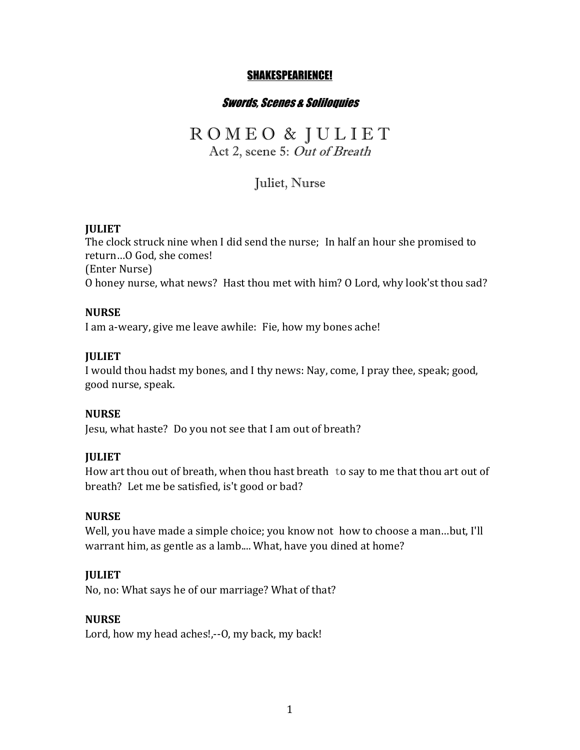## SHAKESPEARIENCE!

## Swords, Scenes & Soliloquies

# R O M E O & J U L I E T

Act 2, scene 5: Out of Breath

Juliet, Nurse

#### **JULIET**

The clock struck nine when I did send the nurse; In half an hour she promised to return...O God, she comes! (Enter Nurse) O honey nurse, what news? Hast thou met with him? O Lord, why look'st thou sad?

#### **NURSE**

I am a-weary, give me leave awhile: Fie, how my bones ache!

#### **JULIET**

I would thou hadst my bones, and I thy news: Nay, come, I pray thee, speak; good, good nurse, speak.

#### **NURSE**

Jesu, what haste? Do you not see that I am out of breath?

#### **JULIET**

How art thou out of breath, when thou hast breath to say to me that thou art out of breath? Let me be satisfied, is't good or bad?

#### **NURSE**

Well, you have made a simple choice; you know not how to choose a man...but, I'll warrant him, as gentle as a lamb.... What, have you dined at home?

#### **JULIET**

No, no: What says he of our marriage? What of that?

#### **NURSE**

Lord, how my head aches!,--O, my back, my back!